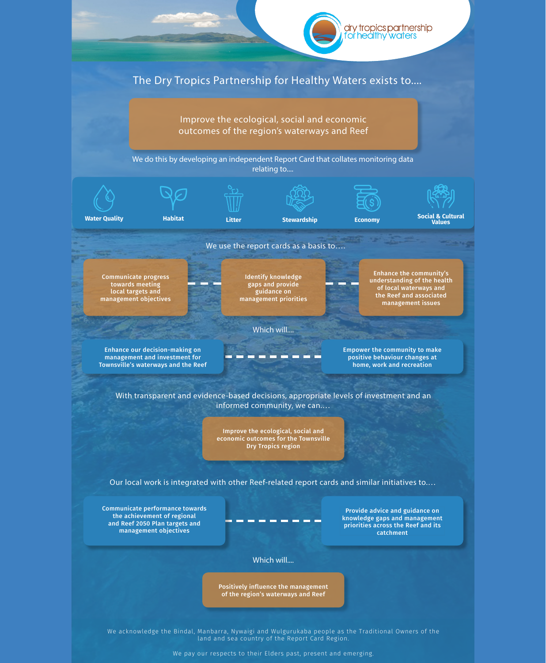Our local work is integrated with other Reef-related report cards and similar initiatives to.…



Communicate performance towards the achievement of regional and Reef 2050 Plan targets and management objectives

Provide advice and guidance on knowledge gaps and management priorities across the Reef and its catchment

Which will....

Positively influence the management of the region's waterways and Reef

We acknowledge the Bindal, Manbarra, Nywaigi and Wulgurukaba people as the Traditional Owners of the land and sea country of the Report Card Region.

We pay our respects to their Elders past, present and emerging.

Improve the ecological, social and economic outcomes for the Townsville Dry Tropics region

With transparent and evidence-based decisions, appropriate levels of investment and an informed community, we can.…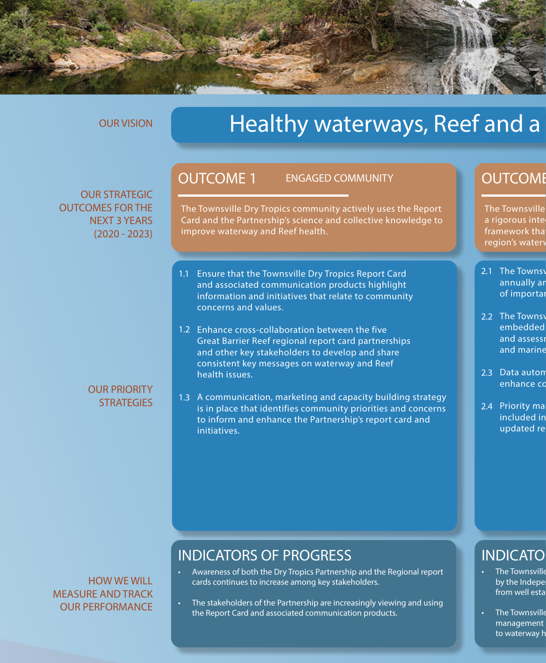# INDICATORS OF PROGRESS

The Townsville Dry Tropics community actively uses the Report Card and the Partnership's science and collective knowledge to improve waterway and Reef health.

- Awareness of both the Dry Tropics Partnership and the Regional report cards continues to increase among key stakeholders.
- The stakeholders of the Partnership are increasingly viewing and using the Report Card and associated communication products.

### **INDICATO**

- The Townsville by the Indepe from well esta
- The Townsville management to waterway h
- 1.1 Ensure that the Townsville Dry Tropics Report Card and associated communication products highlight information and initiatives that relate to community concerns and values.
- 1.2 Enhance cross-collaboration between the five Great Barrier Reef regional report card partnerships and other key stakeholders to develop and share consistent key messages on waterway and Reef health issues.
- 1.3 A communication, marketing and capacity building strategy is in place that identifies community priorities and concerns to inform and enhance the Partnership's report card and

# **OUTCOME**

The Townsville a rigorous inte framework tha region's watery

initiatives.

- 2.1 The Townsy annually ar of importal
- 2.2 The Townsy embedded and assessi and marine
- 2.3 Data autom enhance co
- Priority ma included in 2.4

updated re

#### OUR PRIORITY **STRATEGIES**

#### OUTCOME 1 ENGAGED COMMUNITY



#### OUR VISION

# Healthy waterways, Reef and a

OUR STRATEGIC OUTCOMES FOR THE NEXT 3 YEARS (2020 - 2023)

#### HOW WE WILL MEASURE AND TRACK OUR PERFORMANCE